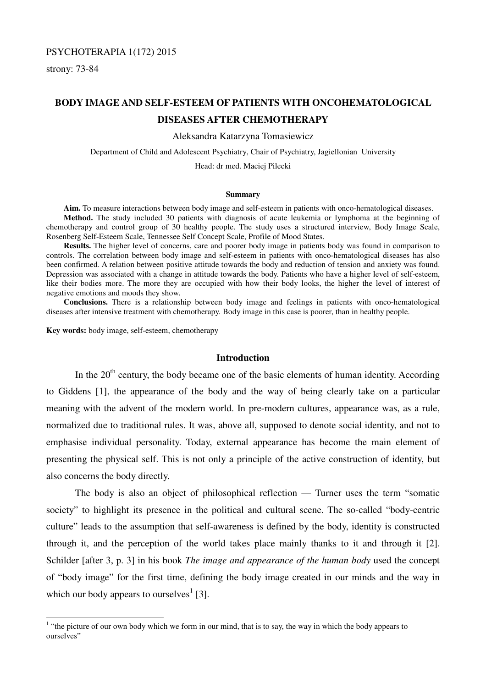# PSYCHOTERAPIA 1(172) 2015

strony: 73-84

 $\overline{a}$ 

# **BODY IMAGE AND SELF-ESTEEM OF PATIENTS WITH ONCOHEMATOLOGICAL DISEASES AFTER CHEMOTHERAPY**

Aleksandra Katarzyna Tomasiewicz

Department of Child and Adolescent Psychiatry, Chair of Psychiatry, Jagiellonian University

Head: dr med. Maciej Pilecki

#### **Summary**

**Aim.** To measure interactions between body image and self-esteem in patients with onco-hematological diseases. **Method.** The study included 30 patients with diagnosis of acute leukemia or lymphoma at the beginning of chemotherapy and control group of 30 healthy people. The study uses a structured interview, Body Image Scale, Rosenberg Self-Esteem Scale, Tennessee Self Concept Scale, Profile of Mood States.

**Results.** The higher level of concerns, care and poorer body image in patients body was found in comparison to controls. The correlation between body image and self-esteem in patients with onco-hematological diseases has also been confirmed. A relation between positive attitude towards the body and reduction of tension and anxiety was found. Depression was associated with a change in attitude towards the body. Patients who have a higher level of self-esteem, like their bodies more. The more they are occupied with how their body looks, the higher the level of interest of negative emotions and moods they show.

**Conclusions.** There is a relationship between body image and feelings in patients with onco-hematological diseases after intensive treatment with chemotherapy. Body image in this case is poorer, than in healthy people.

**Key words:** body image, self-esteem, chemotherapy

#### **Introduction**

In the  $20<sup>th</sup>$  century, the body became one of the basic elements of human identity. According to Giddens [1], the appearance of the body and the way of being clearly take on a particular meaning with the advent of the modern world. In pre-modern cultures, appearance was, as a rule, normalized due to traditional rules. It was, above all, supposed to denote social identity, and not to emphasise individual personality. Today, external appearance has become the main element of presenting the physical self. This is not only a principle of the active construction of identity, but also concerns the body directly.

 The body is also an object of philosophical reflection — Turner uses the term "somatic society" to highlight its presence in the political and cultural scene. The so-called "body-centric culture" leads to the assumption that self-awareness is defined by the body, identity is constructed through it, and the perception of the world takes place mainly thanks to it and through it [2]. Schilder [after 3, p. 3] in his book *The image and appearance of the human body* used the concept of "body image" for the first time, defining the body image created in our minds and the way in which our body appears to ourselves<sup>1</sup> [3].

 $<sup>1</sup>$  "the picture of our own body which we form in our mind, that is to say, the way in which the body appears to</sup> ourselves"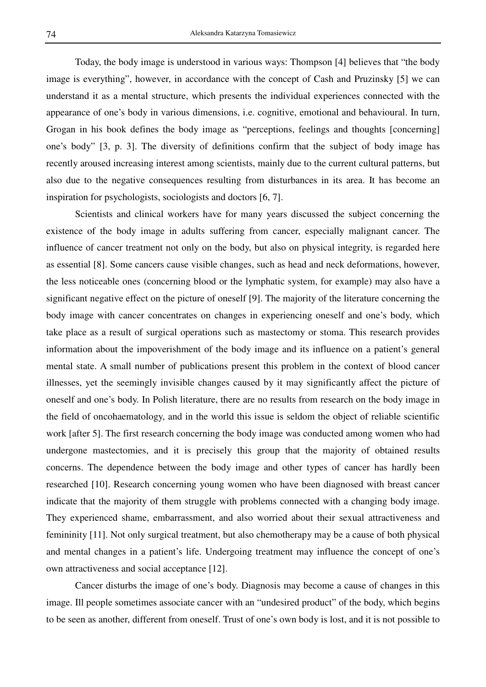Today, the body image is understood in various ways: Thompson [4] believes that "the body image is everything", however, in accordance with the concept of Cash and Pruzinsky [5] we can understand it as a mental structure, which presents the individual experiences connected with the appearance of one's body in various dimensions, i.e. cognitive, emotional and behavioural. In turn, Grogan in his book defines the body image as "perceptions, feelings and thoughts [concerning] one's body" [3, p. 3]. The diversity of definitions confirm that the subject of body image has recently aroused increasing interest among scientists, mainly due to the current cultural patterns, but also due to the negative consequences resulting from disturbances in its area. It has become an inspiration for psychologists, sociologists and doctors [6, 7].

 Scientists and clinical workers have for many years discussed the subject concerning the existence of the body image in adults suffering from cancer, especially malignant cancer. The influence of cancer treatment not only on the body, but also on physical integrity, is regarded here as essential [8]. Some cancers cause visible changes, such as head and neck deformations, however, the less noticeable ones (concerning blood or the lymphatic system, for example) may also have a significant negative effect on the picture of oneself [9]. The majority of the literature concerning the body image with cancer concentrates on changes in experiencing oneself and one's body, which take place as a result of surgical operations such as mastectomy or stoma. This research provides information about the impoverishment of the body image and its influence on a patient's general mental state. A small number of publications present this problem in the context of blood cancer illnesses, yet the seemingly invisible changes caused by it may significantly affect the picture of oneself and one's body. In Polish literature, there are no results from research on the body image in the field of oncohaematology, and in the world this issue is seldom the object of reliable scientific work [after 5]. The first research concerning the body image was conducted among women who had undergone mastectomies, and it is precisely this group that the majority of obtained results concerns. The dependence between the body image and other types of cancer has hardly been researched [10]. Research concerning young women who have been diagnosed with breast cancer indicate that the majority of them struggle with problems connected with a changing body image. They experienced shame, embarrassment, and also worried about their sexual attractiveness and femininity [11]. Not only surgical treatment, but also chemotherapy may be a cause of both physical and mental changes in a patient's life. Undergoing treatment may influence the concept of one's own attractiveness and social acceptance [12].

 Cancer disturbs the image of one's body. Diagnosis may become a cause of changes in this image. Ill people sometimes associate cancer with an "undesired product" of the body, which begins to be seen as another, different from oneself. Trust of one's own body is lost, and it is not possible to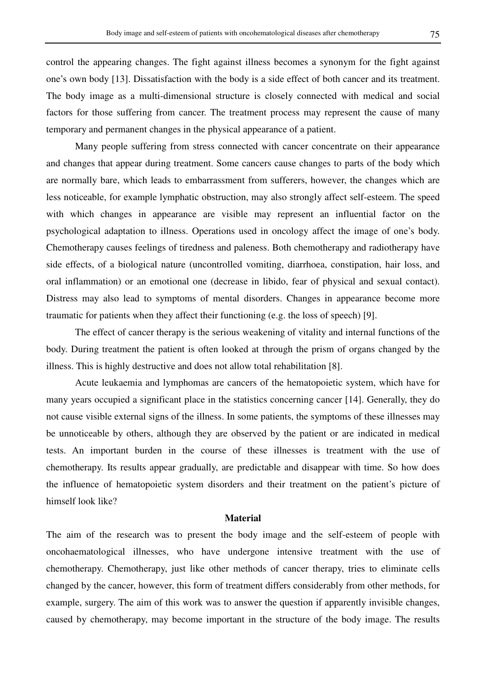control the appearing changes. The fight against illness becomes a synonym for the fight against one's own body [13]. Dissatisfaction with the body is a side effect of both cancer and its treatment. The body image as a multi-dimensional structure is closely connected with medical and social factors for those suffering from cancer. The treatment process may represent the cause of many temporary and permanent changes in the physical appearance of a patient.

 Many people suffering from stress connected with cancer concentrate on their appearance and changes that appear during treatment. Some cancers cause changes to parts of the body which are normally bare, which leads to embarrassment from sufferers, however, the changes which are less noticeable, for example lymphatic obstruction, may also strongly affect self-esteem. The speed with which changes in appearance are visible may represent an influential factor on the psychological adaptation to illness. Operations used in oncology affect the image of one's body. Chemotherapy causes feelings of tiredness and paleness. Both chemotherapy and radiotherapy have side effects, of a biological nature (uncontrolled vomiting, diarrhoea, constipation, hair loss, and oral inflammation) or an emotional one (decrease in libido, fear of physical and sexual contact). Distress may also lead to symptoms of mental disorders. Changes in appearance become more traumatic for patients when they affect their functioning (e.g. the loss of speech) [9].

 The effect of cancer therapy is the serious weakening of vitality and internal functions of the body. During treatment the patient is often looked at through the prism of organs changed by the illness. This is highly destructive and does not allow total rehabilitation [8].

 Acute leukaemia and lymphomas are cancers of the hematopoietic system, which have for many years occupied a significant place in the statistics concerning cancer [14]. Generally, they do not cause visible external signs of the illness. In some patients, the symptoms of these illnesses may be unnoticeable by others, although they are observed by the patient or are indicated in medical tests. An important burden in the course of these illnesses is treatment with the use of chemotherapy. Its results appear gradually, are predictable and disappear with time. So how does the influence of hematopoietic system disorders and their treatment on the patient's picture of himself look like?

# **Material**

The aim of the research was to present the body image and the self-esteem of people with oncohaematological illnesses, who have undergone intensive treatment with the use of chemotherapy. Chemotherapy, just like other methods of cancer therapy, tries to eliminate cells changed by the cancer, however, this form of treatment differs considerably from other methods, for example, surgery. The aim of this work was to answer the question if apparently invisible changes, caused by chemotherapy, may become important in the structure of the body image. The results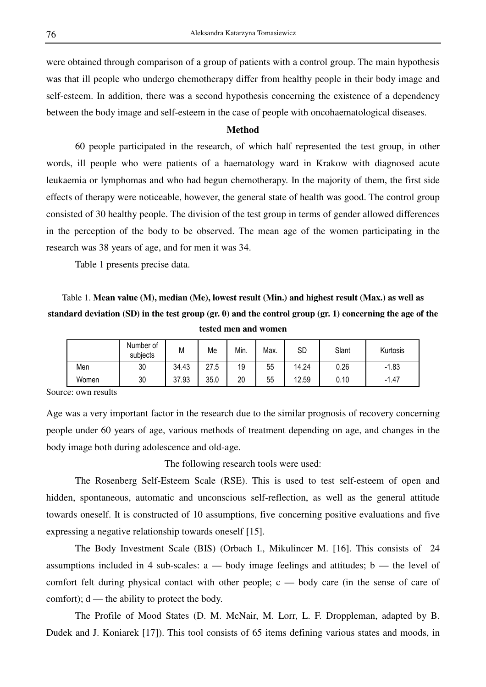were obtained through comparison of a group of patients with a control group. The main hypothesis was that ill people who undergo chemotherapy differ from healthy people in their body image and self-esteem. In addition, there was a second hypothesis concerning the existence of a dependency between the body image and self-esteem in the case of people with oncohaematological diseases.

# **Method**

 60 people participated in the research, of which half represented the test group, in other words, ill people who were patients of a haematology ward in Krakow with diagnosed acute leukaemia or lymphomas and who had begun chemotherapy. In the majority of them, the first side effects of therapy were noticeable, however, the general state of health was good. The control group consisted of 30 healthy people. The division of the test group in terms of gender allowed differences in the perception of the body to be observed. The mean age of the women participating in the research was 38 years of age, and for men it was 34.

Table 1 presents precise data.

Table 1. **Mean value (M), median (Me), lowest result (Min.) and highest result (Max.) as well as standard deviation (SD) in the test group (gr. 0) and the control group (gr. 1) concerning the age of the tested men and women**

|       | Number of<br>subjects | М     | Me   | Min. | Max. | SD    | Slant | Kurtosis     |
|-------|-----------------------|-------|------|------|------|-------|-------|--------------|
| Men   | 30                    | 34.43 | 27.5 | 19   | 55   | 14.24 | 0.26  | .1.83<br>- 1 |
| Women | 30                    | 37.93 | 35.0 | 20   | 55   | 12.59 | 0.10  | $-1.47$      |

Source: own results

Age was a very important factor in the research due to the similar prognosis of recovery concerning people under 60 years of age, various methods of treatment depending on age, and changes in the body image both during adolescence and old-age.

The following research tools were used:

 The Rosenberg Self-Esteem Scale (RSE). This is used to test self-esteem of open and hidden, spontaneous, automatic and unconscious self-reflection, as well as the general attitude towards oneself. It is constructed of 10 assumptions, five concerning positive evaluations and five expressing a negative relationship towards oneself [15].

 The Body Investment Scale (BIS) (Orbach I., Mikulincer M. [16]. This consists of 24 assumptions included in 4 sub-scales:  $a - body$  image feelings and attitudes;  $b - the level of$ comfort felt during physical contact with other people;  $c$  — body care (in the sense of care of comfort);  $d$  — the ability to protect the body.

 The Profile of Mood States (D. M. McNair, M. Lorr, L. F. Droppleman, adapted by B. Dudek and J. Koniarek [17]). This tool consists of 65 items defining various states and moods, in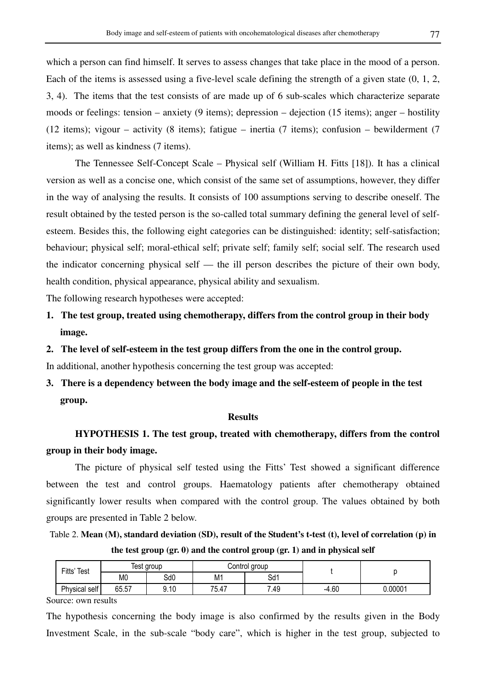which a person can find himself. It serves to assess changes that take place in the mood of a person. Each of the items is assessed using a five-level scale defining the strength of a given state (0, 1, 2, 3, 4). The items that the test consists of are made up of 6 sub-scales which characterize separate moods or feelings: tension – anxiety (9 items); depression – dejection (15 items); anger – hostility (12 items); vigour – activity (8 items); fatigue – inertia (7 items); confusion – bewilderment (7 items); as well as kindness (7 items).

 The Tennessee Self-Concept Scale – Physical self (William H. Fitts [18]). It has a clinical version as well as a concise one, which consist of the same set of assumptions, however, they differ in the way of analysing the results. It consists of 100 assumptions serving to describe oneself. The result obtained by the tested person is the so-called total summary defining the general level of selfesteem. Besides this, the following eight categories can be distinguished: identity; self-satisfaction; behaviour; physical self; moral-ethical self; private self; family self; social self. The research used the indicator concerning physical self — the ill person describes the picture of their own body, health condition, physical appearance, physical ability and sexualism.

The following research hypotheses were accepted:

- **1. The test group, treated using chemotherapy, differs from the control group in their body image.**
- **2. The level of self-esteem in the test group differs from the one in the control group.**

In additional, another hypothesis concerning the test group was accepted:

**3. There is a dependency between the body image and the self-esteem of people in the test group.** 

#### **Results**

# **HYPOTHESIS 1. The test group, treated with chemotherapy, differs from the control group in their body image.**

 The picture of physical self tested using the Fitts' Test showed a significant difference between the test and control groups. Haematology patients after chemotherapy obtained significantly lower results when compared with the control group. The values obtained by both groups are presented in Table 2 below.

Table 2. **Mean (M), standard deviation (SD), result of the Student's t-test (t), level of correlation (p) in the test group (gr. 0) and the control group (gr. 1) and in physical self** 

| $F$ itts | Test           | Test<br>group |                |                              | Control group |         |        |  |
|----------|----------------|---------------|----------------|------------------------------|---------------|---------|--------|--|
|          | M <sub>0</sub> | Sd0           | M <sub>1</sub> | Sd1                          |               |         |        |  |
|          | Physical self  | 65.57         | 9.10           | 75<br>$\overline{1}$<br>0.41 | 7.49          | $-4.60$ | .00001 |  |

Source: own results

The hypothesis concerning the body image is also confirmed by the results given in the Body Investment Scale, in the sub-scale "body care", which is higher in the test group, subjected to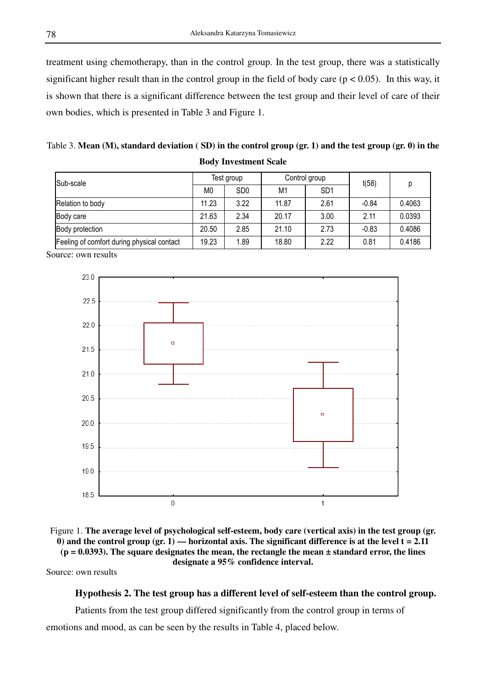treatment using chemotherapy, than in the control group. In the test group, there was a statistically significant higher result than in the control group in the field of body care ( $p < 0.05$ ). In this way, it is shown that there is a significant difference between the test group and their level of care of their own bodies, which is presented in Table 3 and Figure 1.

Table 3. **Mean (M), standard deviation ( SD) in the control group (gr. 1) and the test group (gr. 0) in the Body Investment Scale**

| Sub-scale                                  | Test group     |                 | Control group |                 | t(58)   | D      |
|--------------------------------------------|----------------|-----------------|---------------|-----------------|---------|--------|
|                                            | M <sub>0</sub> | SD <sub>0</sub> | M1            | SD <sub>1</sub> |         |        |
| Relation to body                           | 11.23          | 3.22            | 11.87         | 2.61            | $-0.84$ | 0.4063 |
| Body care                                  | 21.63          | 2.34            | 20.17         | 3.00            | 2.11    | 0.0393 |
| Body protection                            | 20.50          | 2.85            | 21.10         | 2.73            | $-0.83$ | 0.4086 |
| Feeling of comfort during physical contact | 19.23          | 1.89            | 18.80         | 2.22            | 0.81    | 0.4186 |

Source: own results





Source: own results

# **Hypothesis 2. The test group has a different level of self-esteem than the control group.**

 Patients from the test group differed significantly from the control group in terms of emotions and mood, as can be seen by the results in Table 4, placed below.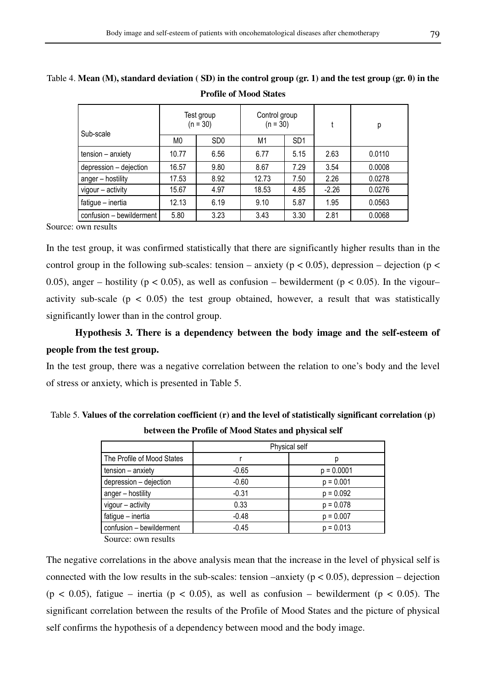| Sub-scale                | Test group<br>$(n = 30)$ |                 | Control group<br>$(n = 30)$ |                 |         | р      |
|--------------------------|--------------------------|-----------------|-----------------------------|-----------------|---------|--------|
|                          | M0                       | SD <sub>0</sub> | M1                          | SD <sub>1</sub> |         |        |
| tension - anxiety        | 10.77                    | 6.56            | 6.77                        | 5.15            | 2.63    | 0.0110 |
| depression - dejection   | 16.57                    | 9.80            | 8.67                        | 7.29            | 3.54    | 0.0008 |
| anger - hostility        | 17.53                    | 8.92            | 12.73                       | 7.50            | 2.26    | 0.0278 |
| vigour - activity        | 15.67                    | 4.97            | 18.53                       | 4.85            | $-2.26$ | 0.0276 |
| fatigue - inertia        | 12.13                    | 6.19            | 9.10                        | 5.87            | 1.95    | 0.0563 |
| confusion - bewilderment | 5.80                     | 3.23            | 3.43                        | 3.30            | 2.81    | 0.0068 |

Table 4. **Mean (M), standard deviation ( SD) in the control group (gr. 1) and the test group (gr. 0) in the** 

**Profile of Mood States** 

Source: own results

In the test group, it was confirmed statistically that there are significantly higher results than in the control group in the following sub-scales: tension – anxiety ( $p < 0.05$ ), depression – dejection ( $p <$ 0.05), anger – hostility ( $p < 0.05$ ), as well as confusion – bewilderment ( $p < 0.05$ ). In the vigour– activity sub-scale ( $p < 0.05$ ) the test group obtained, however, a result that was statistically significantly lower than in the control group.

 **Hypothesis 3. There is a dependency between the body image and the self-esteem of people from the test group.** 

In the test group, there was a negative correlation between the relation to one's body and the level of stress or anxiety, which is presented in Table 5.

| Table 5. Values of the correlation coefficient $(r)$ and the level of statistically significant correlation $(p)$ |  |
|-------------------------------------------------------------------------------------------------------------------|--|
| between the Profile of Mood States and physical self                                                              |  |

|                            | Physical self |              |  |
|----------------------------|---------------|--------------|--|
| The Profile of Mood States |               |              |  |
| tension - anxiety          | $-0.65$       | $p = 0.0001$ |  |
| depression - dejection     | $-0.60$       | $p = 0.001$  |  |
| anger - hostility          | $-0.31$       | $p = 0.092$  |  |
| vigour - activity          | 0.33          | $p = 0.078$  |  |
| fatigue - inertia          | $-0.48$       | $p = 0.007$  |  |
| confusion - bewilderment   | $-0.45$       | $p = 0.013$  |  |

Source: own results

The negative correlations in the above analysis mean that the increase in the level of physical self is connected with the low results in the sub-scales: tension –anxiety ( $p < 0.05$ ), depression – dejection (p < 0.05), fatigue – inertia (p < 0.05), as well as confusion – bewilderment (p < 0.05). The significant correlation between the results of the Profile of Mood States and the picture of physical self confirms the hypothesis of a dependency between mood and the body image.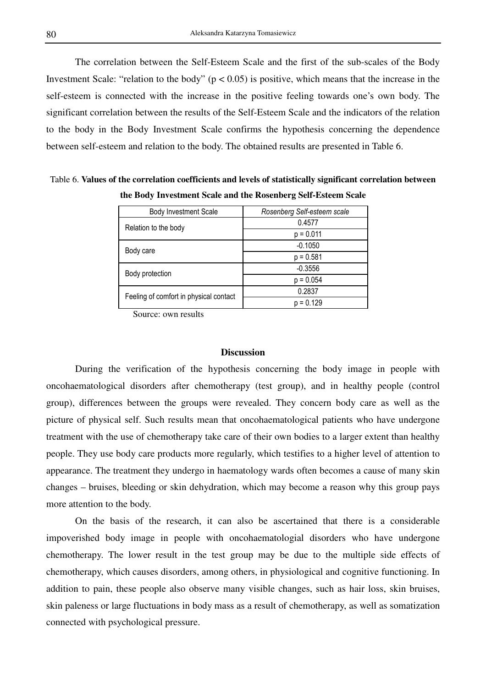The correlation between the Self-Esteem Scale and the first of the sub-scales of the Body Investment Scale: "relation to the body" ( $p < 0.05$ ) is positive, which means that the increase in the self-esteem is connected with the increase in the positive feeling towards one's own body. The significant correlation between the results of the Self-Esteem Scale and the indicators of the relation to the body in the Body Investment Scale confirms the hypothesis concerning the dependence between self-esteem and relation to the body. The obtained results are presented in Table 6.

Table 6. **Values of the correlation coefficients and levels of statistically significant correlation between the Body Investment Scale and the Rosenberg Self-Esteem Scale** 

| <b>Body Investment Scale</b>           | Rosenberg Self-esteem scale |  |  |  |
|----------------------------------------|-----------------------------|--|--|--|
| Relation to the body                   | 0.4577                      |  |  |  |
|                                        | $p = 0.011$                 |  |  |  |
| Body care                              | $-0.1050$                   |  |  |  |
|                                        | $p = 0.581$                 |  |  |  |
| Body protection                        | $-0.3556$                   |  |  |  |
|                                        | $p = 0.054$                 |  |  |  |
| Feeling of comfort in physical contact | 0.2837                      |  |  |  |
|                                        | $p = 0.129$                 |  |  |  |

Source: own results

# **Discussion**

 During the verification of the hypothesis concerning the body image in people with oncohaematological disorders after chemotherapy (test group), and in healthy people (control group), differences between the groups were revealed. They concern body care as well as the picture of physical self. Such results mean that oncohaematological patients who have undergone treatment with the use of chemotherapy take care of their own bodies to a larger extent than healthy people. They use body care products more regularly, which testifies to a higher level of attention to appearance. The treatment they undergo in haematology wards often becomes a cause of many skin changes – bruises, bleeding or skin dehydration, which may become a reason why this group pays more attention to the body.

 On the basis of the research, it can also be ascertained that there is a considerable impoverished body image in people with oncohaematologial disorders who have undergone chemotherapy. The lower result in the test group may be due to the multiple side effects of chemotherapy, which causes disorders, among others, in physiological and cognitive functioning. In addition to pain, these people also observe many visible changes, such as hair loss, skin bruises, skin paleness or large fluctuations in body mass as a result of chemotherapy, as well as somatization connected with psychological pressure.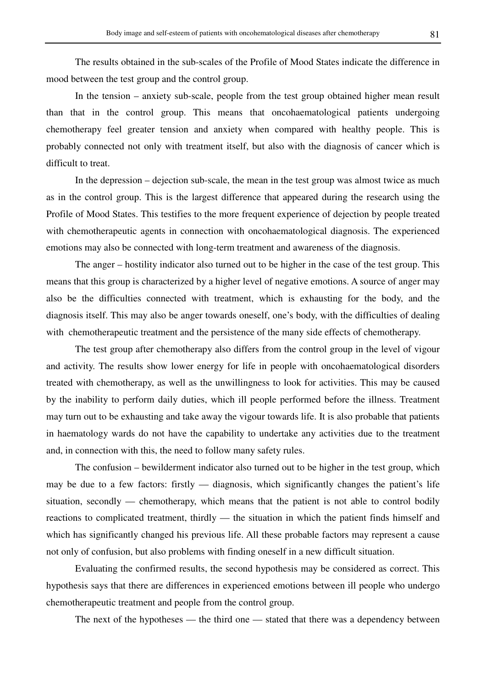The results obtained in the sub-scales of the Profile of Mood States indicate the difference in mood between the test group and the control group.

 In the tension – anxiety sub-scale, people from the test group obtained higher mean result than that in the control group. This means that oncohaematological patients undergoing chemotherapy feel greater tension and anxiety when compared with healthy people. This is probably connected not only with treatment itself, but also with the diagnosis of cancer which is difficult to treat.

 In the depression – dejection sub-scale, the mean in the test group was almost twice as much as in the control group. This is the largest difference that appeared during the research using the Profile of Mood States. This testifies to the more frequent experience of dejection by people treated with chemotherapeutic agents in connection with oncohaematological diagnosis. The experienced emotions may also be connected with long-term treatment and awareness of the diagnosis.

 The anger – hostility indicator also turned out to be higher in the case of the test group. This means that this group is characterized by a higher level of negative emotions. A source of anger may also be the difficulties connected with treatment, which is exhausting for the body, and the diagnosis itself. This may also be anger towards oneself, one's body, with the difficulties of dealing with chemotherapeutic treatment and the persistence of the many side effects of chemotherapy.

 The test group after chemotherapy also differs from the control group in the level of vigour and activity. The results show lower energy for life in people with oncohaematological disorders treated with chemotherapy, as well as the unwillingness to look for activities. This may be caused by the inability to perform daily duties, which ill people performed before the illness. Treatment may turn out to be exhausting and take away the vigour towards life. It is also probable that patients in haematology wards do not have the capability to undertake any activities due to the treatment and, in connection with this, the need to follow many safety rules.

 The confusion – bewilderment indicator also turned out to be higher in the test group, which may be due to a few factors: firstly — diagnosis, which significantly changes the patient's life situation, secondly — chemotherapy, which means that the patient is not able to control bodily reactions to complicated treatment, thirdly — the situation in which the patient finds himself and which has significantly changed his previous life. All these probable factors may represent a cause not only of confusion, but also problems with finding oneself in a new difficult situation.

 Evaluating the confirmed results, the second hypothesis may be considered as correct. This hypothesis says that there are differences in experienced emotions between ill people who undergo chemotherapeutic treatment and people from the control group.

The next of the hypotheses — the third one — stated that there was a dependency between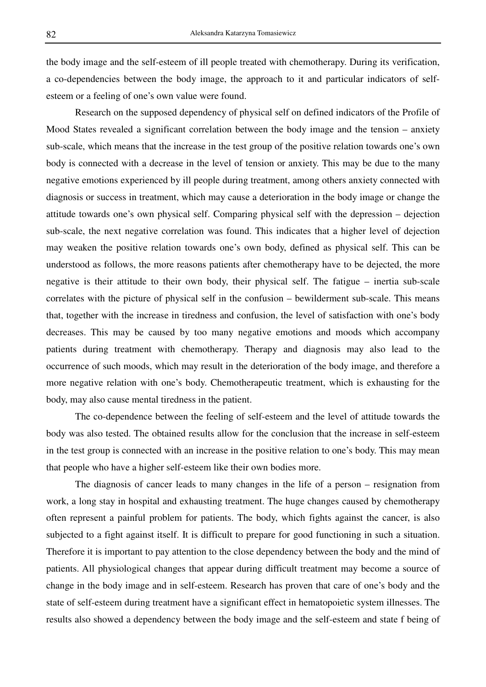the body image and the self-esteem of ill people treated with chemotherapy. During its verification, a co-dependencies between the body image, the approach to it and particular indicators of selfesteem or a feeling of one's own value were found.

 Research on the supposed dependency of physical self on defined indicators of the Profile of Mood States revealed a significant correlation between the body image and the tension – anxiety sub-scale, which means that the increase in the test group of the positive relation towards one's own body is connected with a decrease in the level of tension or anxiety. This may be due to the many negative emotions experienced by ill people during treatment, among others anxiety connected with diagnosis or success in treatment, which may cause a deterioration in the body image or change the attitude towards one's own physical self. Comparing physical self with the depression – dejection sub-scale, the next negative correlation was found. This indicates that a higher level of dejection may weaken the positive relation towards one's own body, defined as physical self. This can be understood as follows, the more reasons patients after chemotherapy have to be dejected, the more negative is their attitude to their own body, their physical self. The fatigue – inertia sub-scale correlates with the picture of physical self in the confusion – bewilderment sub-scale. This means that, together with the increase in tiredness and confusion, the level of satisfaction with one's body decreases. This may be caused by too many negative emotions and moods which accompany patients during treatment with chemotherapy. Therapy and diagnosis may also lead to the occurrence of such moods, which may result in the deterioration of the body image, and therefore a more negative relation with one's body. Chemotherapeutic treatment, which is exhausting for the body, may also cause mental tiredness in the patient.

 The co-dependence between the feeling of self-esteem and the level of attitude towards the body was also tested. The obtained results allow for the conclusion that the increase in self-esteem in the test group is connected with an increase in the positive relation to one's body. This may mean that people who have a higher self-esteem like their own bodies more.

 The diagnosis of cancer leads to many changes in the life of a person – resignation from work, a long stay in hospital and exhausting treatment. The huge changes caused by chemotherapy often represent a painful problem for patients. The body, which fights against the cancer, is also subjected to a fight against itself. It is difficult to prepare for good functioning in such a situation. Therefore it is important to pay attention to the close dependency between the body and the mind of patients. All physiological changes that appear during difficult treatment may become a source of change in the body image and in self-esteem. Research has proven that care of one's body and the state of self-esteem during treatment have a significant effect in hematopoietic system illnesses. The results also showed a dependency between the body image and the self-esteem and state f being of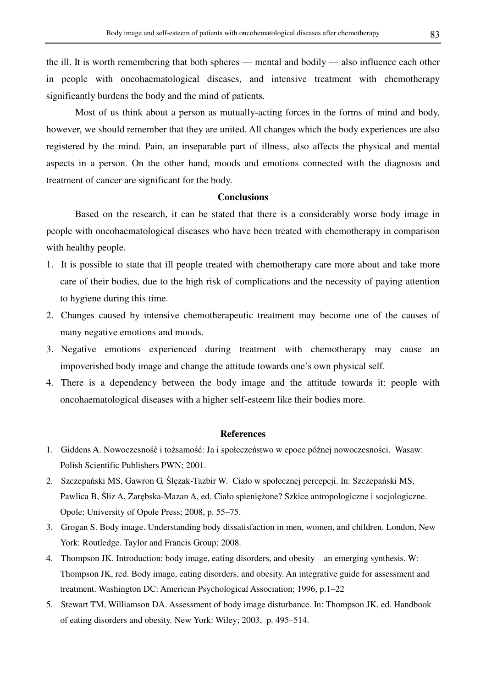the ill. It is worth remembering that both spheres — mental and bodily — also influence each other in people with oncohaematological diseases, and intensive treatment with chemotherapy significantly burdens the body and the mind of patients.

 Most of us think about a person as mutually-acting forces in the forms of mind and body, however, we should remember that they are united. All changes which the body experiences are also registered by the mind. Pain, an inseparable part of illness, also affects the physical and mental aspects in a person. On the other hand, moods and emotions connected with the diagnosis and treatment of cancer are significant for the body.

### **Conclusions**

 Based on the research, it can be stated that there is a considerably worse body image in people with oncohaematological diseases who have been treated with chemotherapy in comparison with healthy people.

- 1. It is possible to state that ill people treated with chemotherapy care more about and take more care of their bodies, due to the high risk of complications and the necessity of paying attention to hygiene during this time.
- 2. Changes caused by intensive chemotherapeutic treatment may become one of the causes of many negative emotions and moods.
- 3. Negative emotions experienced during treatment with chemotherapy may cause an impoverished body image and change the attitude towards one's own physical self.
- 4. There is a dependency between the body image and the attitude towards it: people with oncohaematological diseases with a higher self-esteem like their bodies more.

### **References**

- 1. Giddens A. Nowoczesność i tożsamość: Ja i społeczeństwo w epoce późnej nowoczesności. Wasaw: Polish Scientific Publishers PWN; 2001.
- 2. Szczepański MS, Gawron G, Ślęzak-Tazbir W. Ciało w społecznej percepcji. In: Szczepański MS, Pawlica B, Śliz A, Zarębska-Mazan A, ed. Ciało spieniężone? Szkice antropologiczne i socjologiczne. Opole: University of Opole Press; 2008, p. 55–75.
- 3. Grogan S. Body image. Understanding body dissatisfaction in men, women, and children. London, New York: Routledge. Taylor and Francis Group; 2008.
- 4. Thompson JK. Introduction: body image, eating disorders, and obesity an emerging synthesis. W: Thompson JK, red. Body image, eating disorders, and obesity. An integrative guide for assessment and treatment. Washington DC: American Psychological Association; 1996, p.1–22
- 5. Stewart TM, Williamson DA. Assessment of body image disturbance. In: Thompson JK, ed. Handbook of eating disorders and obesity. New York: Wiley; 2003, p. 495–514.